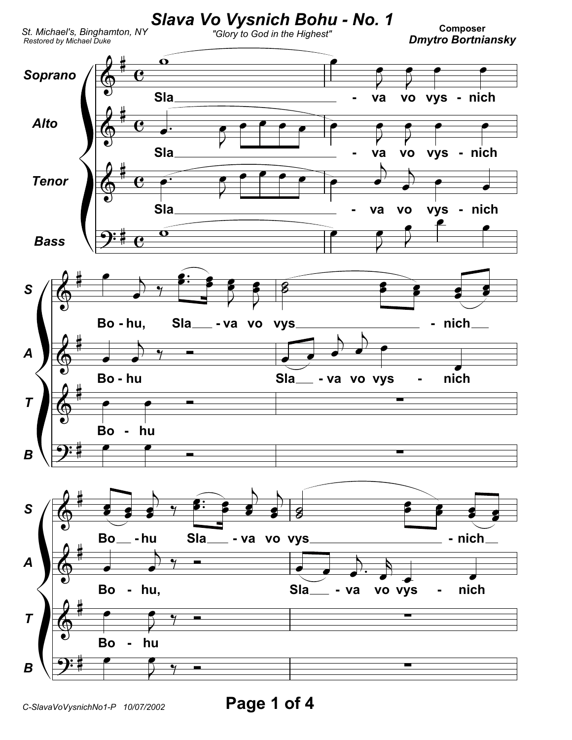

Page 1 of 4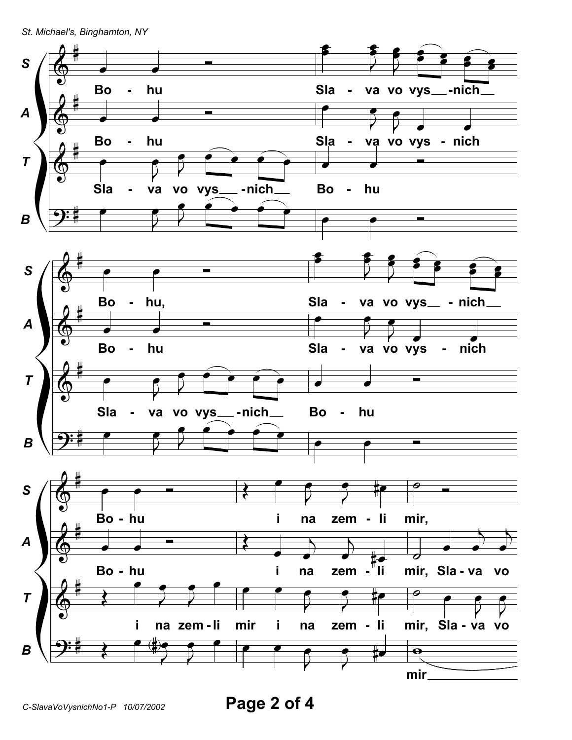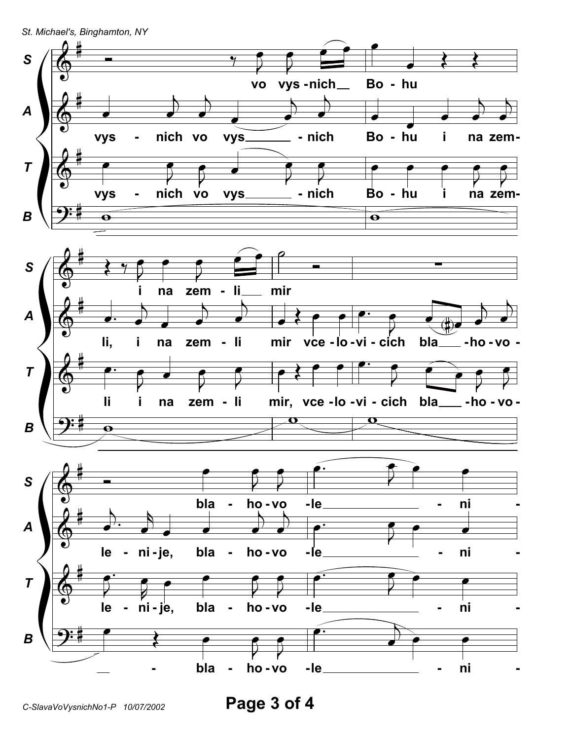

Page 3 of 4